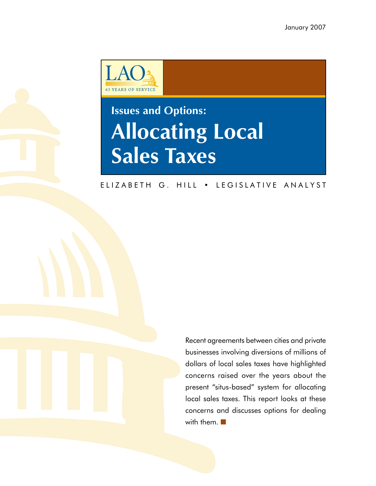

# **Issues and Options: Allocating Local Sales Taxes**

### ELIZABETH G. HILL . LEGISLATIVE ANALYST

Recent agreements between cities and private businesses involving diversions of millions of dollars of local sales taxes have highlighted concerns raised over the years about the present "situs-based" system for allocating local sales taxes. This report looks at these concerns and discusses options for dealing with them. ■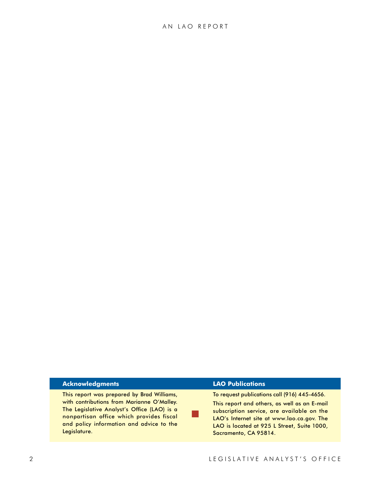#### **Acknowledgments**

This report was prepared by Brad Williams, with contributions from Marianne O'Malley. The Legislative Analyst's Office (LAO) is a nonpartisan office which provides fiscal and policy information and advice to the Legislature.

#### **LAO Publications**

■

To request publications call (916) 445-4656.

This report and others, as well as an E-mail subscription service, are available on the LAO's Internet site at www.lao.ca.gov. The LAO is located at 925 L Street, Suite 1000, Sacramento, CA 95814.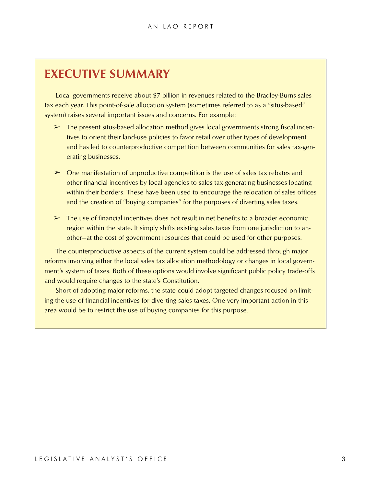# **Executive Summary**

Local governments receive about \$7 billion in revenues related to the Bradley-Burns sales tax each year. This point-of-sale allocation system (sometimes referred to as a "situs-based" system) raises several important issues and concerns. For example:

- $\triangleright$  The present situs-based allocation method gives local governments strong fiscal incentives to orient their land-use policies to favor retail over other types of development and has led to counterproductive competition between communities for sales tax-generating businesses.
- $\triangleright$  One manifestation of unproductive competition is the use of sales tax rebates and other financial incentives by local agencies to sales tax-generating businesses locating within their borders. These have been used to encourage the relocation of sales offices and the creation of "buying companies" for the purposes of diverting sales taxes.
- $\triangleright$  The use of financial incentives does not result in net benefits to a broader economic region within the state. It simply shifts existing sales taxes from one jurisdiction to another—at the cost of government resources that could be used for other purposes.

The counterproductive aspects of the current system could be addressed through major reforms involving either the local sales tax allocation methodology or changes in local government's system of taxes. Both of these options would involve significant public policy trade-offs and would require changes to the state's Constitution.

Short of adopting major reforms, the state could adopt targeted changes focused on limiting the use of financial incentives for diverting sales taxes. One very important action in this area would be to restrict the use of buying companies for this purpose.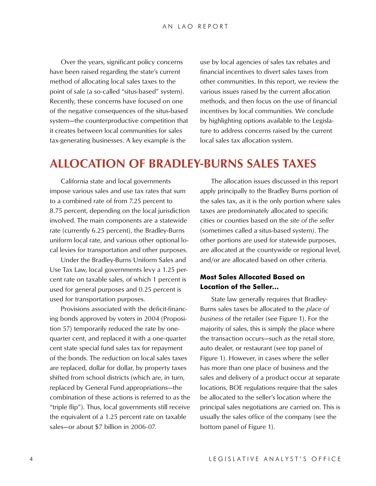Over the years, significant policy concerns have been raised regarding the state's current method of allocating local sales taxes to the point of sale (a so-called "situs-based" system). Recently, these concerns have focused on one of the negative consequences of the situs-based system—the counterproductive competition that it creates between local communities for sales tax-generating businesses. A key example is the

use by local agencies of sales tax rebates and financial incentives to divert sales taxes from other communities. In this report, we review the various issues raised by the current allocation methods, and then focus on the use of financial incentives by local communities. We conclude by highlighting options available to the Legislature to address concerns raised by the current local sales tax allocation system.

# **Allocation of Bradley-Burns Sales Taxes**

California state and local governments impose various sales and use tax rates that sum to a combined rate of from 7.25 percent to 8.75 percent, depending on the local jurisdiction involved. The main components are a statewide rate (currently 6.25 percent), the Bradley-Burns uniform local rate, and various other optional local levies for transportation and other purposes.

Under the Bradley-Burns Uniform Sales and Use Tax Law, local governments levy a 1.25 percent rate on taxable sales, of which 1 percent is used for general purposes and 0.25 percent is used for transportation purposes.

Provisions associated with the deficit-financing bonds approved by voters in 2004 (Proposition 57) temporarily reduced the rate by onequarter cent, and replaced it with a one-quarter cent state special fund sales tax for repayment of the bonds. The reduction on local sales taxes are replaced, dollar for dollar, by property taxes shifted from school districts (which are, in turn, replaced by General Fund appropriations—the combination of these actions is referred to as the "triple flip"). Thus, local governments still receive the equivalent of a 1.25 percent rate on taxable sales—or about \$7 billion in 2006-07.

The allocation issues discussed in this report apply principally to the Bradley Burns portion of the sales tax, as it is the only portion where sales taxes are predominately allocated to specific cities or counties based on the *site of the seller*  (sometimes called a situs-based system*)*. The other portions are used for statewide purposes, are allocated at the countywide or regional level, and/or are allocated based on other criteria.

### **Most Sales Allocated Based on Location of the Seller…**

State law generally requires that Bradley-Burns sales taxes be allocated to the *place of business* of the retailer (see Figure 1). For the majority of sales, this is simply the place where the transaction occurs—such as the retail store, auto dealer, or restaurant (see top panel of Figure 1). However, in cases where the seller has more than one place of business and the sales and delivery of a product occur at separate locations, BOE regulations require that the sales be allocated to the seller's location where the principal sales negotiations are carried on. This is usually the sales office of the company (see the bottom panel of Figure 1).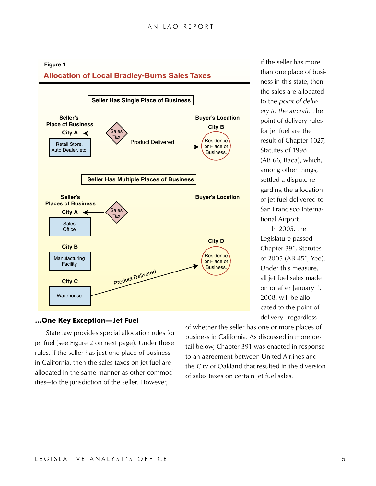# **Allocation of Local Bradley-Burns Sales Taxes Figure 1**



if the seller has more than one place of business in this state, then the sales are allocated to the *point of delivery to the aircraft*. The point-of-delivery rules for jet fuel are the result of Chapter 1027, Statutes of 1998 (AB 66, Baca), which, among other things, settled a dispute regarding the allocation of jet fuel delivered to San Francisco International Airport.

In 2005, the Legislature passed Chapter 391, Statutes of 2005 (AB 451, Yee). Under this measure, all jet fuel sales made on or after January 1, 2008, will be allocated to the point of delivery—regardless

#### **…One Key Exception—Jet Fuel**

State law provides special allocation rules for jet fuel (see Figure 2 on next page). Under these rules, if the seller has just one place of business in California, then the sales taxes on jet fuel are allocated in the same manner as other commodities—to the jurisdiction of the seller. However,

of whether the seller has one or more places of business in California. As discussed in more detail below, Chapter 391 was enacted in response to an agreement between United Airlines and the City of Oakland that resulted in the diversion of sales taxes on certain jet fuel sales.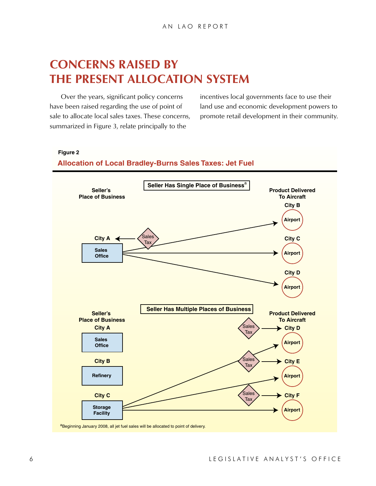# **Concerns Raised by the Present Allocation System**

Over the years, significant policy concerns have been raised regarding the use of point of sale to allocate local sales taxes. These concerns, summarized in Figure 3, relate principally to the

incentives local governments face to use their land use and economic development powers to promote retail development in their community.

#### **Figure 2**

#### **Allocation of Local Bradley-Burns Sales Taxes: Jet Fuel**

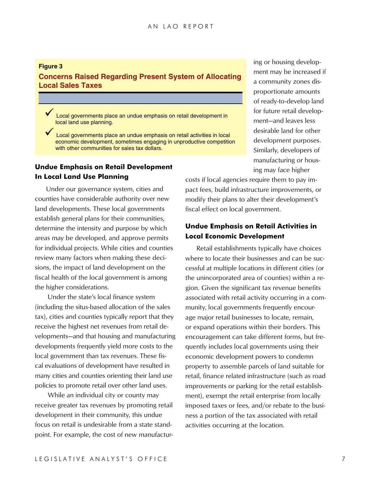### **Figure 3 Concerns Raised Regarding Present System of Allocating Local Sales Taxes**

Local governments place an undue emphasis on retail development in local land use planning.

Local governments place an undue emphasis on retail activities in local economic development, sometimes engaging in unproductive competition with other communities for sales tax dollars.

# **Undue Emphasis on Retail Development In Local Land Use Planning**

Under our governance system, cities and counties have considerable authority over new land developments. These local governments establish general plans for their communities, determine the intensity and purpose by which areas may be developed, and approve permits for individual projects. While cities and counties review many factors when making these decisions, the impact of land development on the fiscal health of the local government is among the higher considerations.

Under the state's local finance system (including the situs-based allocation of the sales tax), cities and counties typically report that they receive the highest net revenues from retail developments—and that housing and manufacturing developments frequently yield more costs to the local government than tax revenues. These fiscal evaluations of development have resulted in many cities and counties orienting their land use policies to promote retail over other land uses.

While an individual city or county may receive greater tax revenues by promoting retail development in their community, this undue focus on retail is undesirable from a state standpoint. For example, the cost of new manufacturing or housing development may be increased if a community zones disproportionate amounts of ready-to-develop land for future retail development—and leaves less desirable land for other development purposes. Similarly, developers of manufacturing or housing may face higher

costs if local agencies require them to pay impact fees, build infrastructure improvements, or modify their plans to alter their development's fiscal effect on local government.

# **Undue Emphasis on Retail Activities in Local Economic Development**

Retail establishments typically have choices where to locate their businesses and can be successful at multiple locations in different cities (or the unincorporated area of counties) within a region. Given the significant tax revenue benefits associated with retail activity occurring in a community, local governments frequently encourage major retail businesses to locate, remain, or expand operations within their borders. This encouragement can take different forms, but frequently includes local governments using their economic development powers to condemn property to assemble parcels of land suitable for retail, finance related infrastructure (such as road improvements or parking for the retail establishment), exempt the retail enterprise from locally imposed taxes or fees, and/or rebate to the business a portion of the tax associated with retail activities occurring at the location.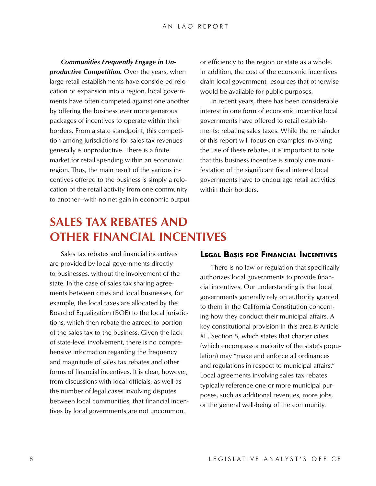*Communities Frequently Engage in Unproductive Competition.* Over the years, when large retail establishments have considered relocation or expansion into a region, local governments have often competed against one another by offering the business ever more generous packages of incentives to operate within their borders. From a state standpoint, this competition among jurisdictions for sales tax revenues generally is unproductive. There is a finite market for retail spending within an economic region. Thus, the main result of the various incentives offered to the business is simply a relocation of the retail activity from one community to another—with no net gain in economic output or efficiency to the region or state as a whole. In addition, the cost of the economic incentives drain local government resources that otherwise would be available for public purposes.

In recent years, there has been considerable interest in one form of economic incentive local governments have offered to retail establishments: rebating sales taxes. While the remainder of this report will focus on examples involving the use of these rebates, it is important to note that this business incentive is simply one manifestation of the significant fiscal interest local governments have to encourage retail activities within their borders.

# **Sales Tax Rebates and Other Financial Incentives**

Sales tax rebates and financial incentives are provided by local governments directly to businesses, without the involvement of the state. In the case of sales tax sharing agreements between cities and local businesses, for example, the local taxes are allocated by the Board of Equalization (BOE) to the local jurisdictions, which then rebate the agreed-to portion of the sales tax to the business. Given the lack of state-level involvement, there is no comprehensive information regarding the frequency and magnitude of sales tax rebates and other forms of financial incentives. It is clear, however, from discussions with local officials, as well as the number of legal cases involving disputes between local communities, that financial incentives by local governments are not uncommon.

# **Legal Basis for Financial Incentives**

There is no law or regulation that specifically authorizes local governments to provide financial incentives. Our understanding is that local governments generally rely on authority granted to them in the California Constitution concerning how they conduct their municipal affairs. A key constitutional provision in this area is Article XI , Section 5, which states that charter cities (which encompass a majority of the state's population) may "make and enforce all ordinances and regulations in respect to municipal affairs." Local agreements involving sales tax rebates typically reference one or more municipal purposes, such as additional revenues, more jobs, or the general well-being of the community.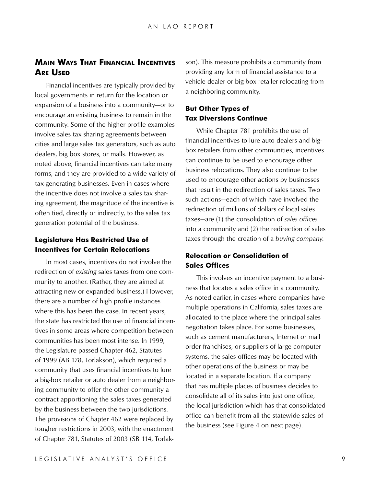# **Main Ways That Financial Incentives Are Used**

Financial incentives are typically provided by local governments in return for the location or expansion of a business into a community—or to encourage an existing business to remain in the community. Some of the higher profile examples involve sales tax sharing agreements between cities and large sales tax generators, such as auto dealers, big box stores, or malls. However, as noted above, financial incentives can take many forms, and they are provided to a wide variety of tax-generating businesses. Even in cases where the incentive does not involve a sales tax sharing agreement, the magnitude of the incentive is often tied, directly or indirectly, to the sales tax generation potential of the business.

# **Legislature Has Restricted Use of Incentives for Certain Relocations**

In most cases, incentives do not involve the redirection of *existing* sales taxes from one community to another. (Rather, they are aimed at attracting new or expanded business.) However, there are a number of high profile instances where this has been the case. In recent years, the state has restricted the use of financial incentives in some areas where competition between communities has been most intense. In 1999, the Legislature passed Chapter 462, Statutes of 1999 (AB 178, Torlakson), which required a community that uses financial incentives to lure a big-box retailer or auto dealer from a neighboring community to offer the other community a contract apportioning the sales taxes generated by the business between the two jurisdictions. The provisions of Chapter 462 were replaced by tougher restrictions in 2003, with the enactment of Chapter 781, Statutes of 2003 (SB 114, Torlakson). This measure prohibits a community from providing any form of financial assistance to a vehicle dealer or big-box retailer relocating from a neighboring community.

#### **But Other Types of Tax Diversions Continue**

While Chapter 781 prohibits the use of financial incentives to lure auto dealers and bigbox retailers from other communities, incentives can continue to be used to encourage other business relocations. They also continue to be used to encourage other actions by businesses that result in the redirection of sales taxes. Two such actions—each of which have involved the redirection of millions of dollars of local sales taxes—are (1) the consolidation of *sales offices* into a community and (2) the redirection of sales taxes through the creation of a *buying company*.

### **Relocation or Consolidation of Sales Offices**

This involves an incentive payment to a business that locates a sales office in a community. As noted earlier, in cases where companies have multiple operations in California, sales taxes are allocated to the place where the principal sales negotiation takes place. For some businesses, such as cement manufacturers, Internet or mail order franchises, or suppliers of large computer systems, the sales offices may be located with other operations of the business or may be located in a separate location. If a company that has multiple places of business decides to consolidate all of its sales into just one office, the local jurisdiction which has that consolidated office can benefit from all the statewide sales of the business (see Figure 4 on next page).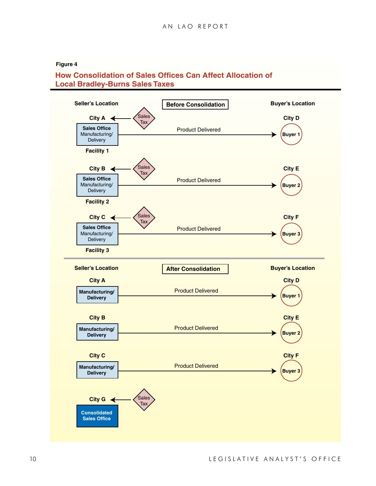#### **Figure 4**

# **How Consolidation of Sales Offices Can Affect Allocation of Local Bradley-Burns Sales Taxes**

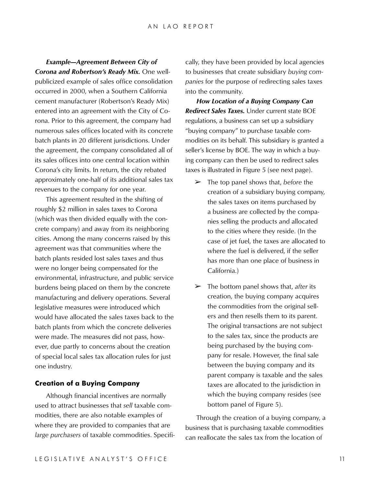*Example—Agreement Between City of Corona and Robertson's Ready Mix.* One wellpublicized example of sales office consolidation occurred in 2000, when a Southern California cement manufacturer (Robertson's Ready Mix) entered into an agreement with the City of Corona. Prior to this agreement, the company had numerous sales offices located with its concrete batch plants in 20 different jurisdictions. Under the agreement, the company consolidated all of its sales offices into one central location within Corona's city limits. In return, the city rebated approximately one-half of its additional sales tax revenues to the company for one year.

This agreement resulted in the shifting of roughly \$2 million in sales taxes to Corona (which was then divided equally with the concrete company) and away from its neighboring cities. Among the many concerns raised by this agreement was that communities where the batch plants resided lost sales taxes and thus were no longer being compensated for the environmental, infrastructure, and public service burdens being placed on them by the concrete manufacturing and delivery operations. Several legislative measures were introduced which would have allocated the sales taxes back to the batch plants from which the concrete deliveries were made. The measures did not pass, however, due partly to concerns about the creation of special local sales tax allocation rules for just one industry.

#### **Creation of a Buying Company**

Although financial incentives are normally used to attract businesses that *sell* taxable commodities, there are also notable examples of where they are provided to companies that are *large purchasers* of taxable commodities. Specifically, they have been provided by local agencies to businesses that create subsidiary *buying companies* for the purpose of redirecting sales taxes into the community.

*How Location of a Buying Company Can Redirect Sales Taxes.* Under current state BOE regulations, a business can set up a subsidiary "buying company" to purchase taxable commodities on its behalf. This subsidiary is granted a seller's license by BOE. The way in which a buying company can then be used to redirect sales taxes is illustrated in Figure 5 (see next page).

- ➢ The top panel shows that, *before* the creation of a subsidiary buying company, the sales taxes on items purchased by a business are collected by the companies selling the products and allocated to the cities where they reside. (In the case of jet fuel, the taxes are allocated to where the fuel is delivered, if the seller has more than one place of business in California.)
- ➢ The bottom panel shows that, *after* its creation, the buying company acquires the commodities from the original sellers and then resells them to its parent. The original transactions are not subject to the sales tax, since the products are being purchased by the buying company for resale. However, the final sale between the buying company and its parent company is taxable and the sales taxes are allocated to the jurisdiction in which the buying company resides (see bottom panel of Figure 5).

Through the creation of a buying company, a business that is purchasing taxable commodities can reallocate the sales tax from the location of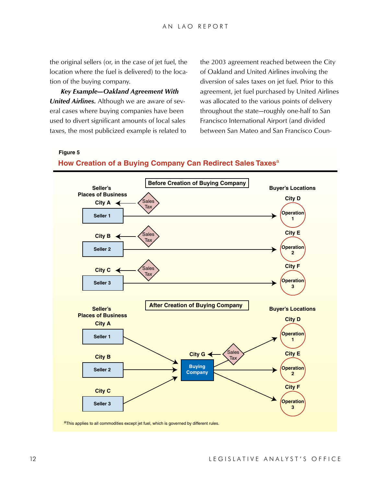the original sellers (or, in the case of jet fuel, the location where the fuel is delivered) to the location of the buying company.

*Key Example—Oakland Agreement With United Airlines.* Although we are aware of several cases where buying companies have been used to divert significant amounts of local sales taxes, the most publicized example is related to the 2003 agreement reached between the City of Oakland and United Airlines involving the diversion of sales taxes on jet fuel. Prior to this agreement, jet fuel purchased by United Airlines was allocated to the various points of delivery throughout the state—roughly one-half to San Francisco International Airport (and divided between San Mateo and San Francisco Coun-

**Figure 5**

#### **How Creation of a Buying Company Can Redirect Sales Taxes**<sup>a</sup>

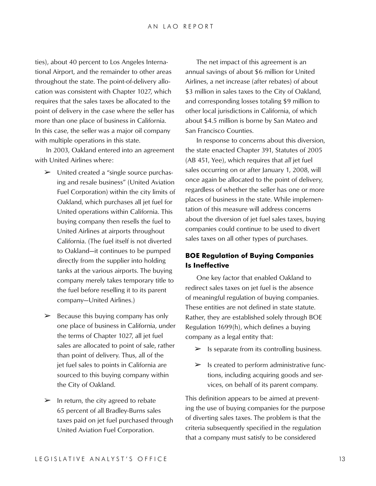ties), about 40 percent to Los Angeles International Airport, and the remainder to other areas throughout the state. The point-of-delivery allocation was consistent with Chapter 1027, which requires that the sales taxes be allocated to the point of delivery in the case where the seller has more than one place of business in California. In this case, the seller was a major oil company with multiple operations in this state.

In 2003, Oakland entered into an agreement with United Airlines where:

- $\triangleright$  United created a "single source purchasing and resale business" (United Aviation Fuel Corporation) within the city limits of Oakland, which purchases all jet fuel for United operations within California. This buying company then resells the fuel to United Airlines at airports throughout California. (The fuel itself is not diverted to Oakland—it continues to be pumped directly from the supplier into holding tanks at the various airports. The buying company merely takes temporary title to the fuel before reselling it to its parent company—United Airlines.)
- $\geq$  Because this buying company has only one place of business in California, under the terms of Chapter 1027, all jet fuel sales are allocated to point of sale, rather than point of delivery. Thus, all of the jet fuel sales to points in California are sourced to this buying company within the City of Oakland.
- $\triangleright$  In return, the city agreed to rebate 65 percent of all Bradley-Burns sales taxes paid on jet fuel purchased through United Aviation Fuel Corporation.

The net impact of this agreement is an annual savings of about \$6 million for United Airlines, a net increase (after rebates) of about \$3 million in sales taxes to the City of Oakland, and corresponding losses totaling \$9 million to other local jurisdictions in California, of which about \$4.5 million is borne by San Mateo and San Francisco Counties.

In response to concerns about this diversion, the state enacted Chapter 391, Statutes of 2005 (AB 451, Yee), which requires that *all* jet fuel sales occurring on or after January 1, 2008, will once again be allocated to the point of delivery, regardless of whether the seller has one or more places of business in the state. While implementation of this measure will address concerns about the diversion of jet fuel sales taxes, buying companies could continue to be used to divert sales taxes on all other types of purchases.

# **BOE Regulation of Buying Companies Is Ineffective**

One key factor that enabled Oakland to redirect sales taxes on jet fuel is the absence of meaningful regulation of buying companies. These entities are not defined in state statute. Rather, they are established solely through BOE Regulation 1699(h), which defines a buying company as a legal entity that:

- $\triangleright$  Is separate from its controlling business.
- $\triangleright$  Is created to perform administrative functions, including acquiring goods and services, on behalf of its parent company.

This definition appears to be aimed at preventing the use of buying companies for the purpose of diverting sales taxes. The problem is that the criteria subsequently specified in the regulation that a company must satisfy to be considered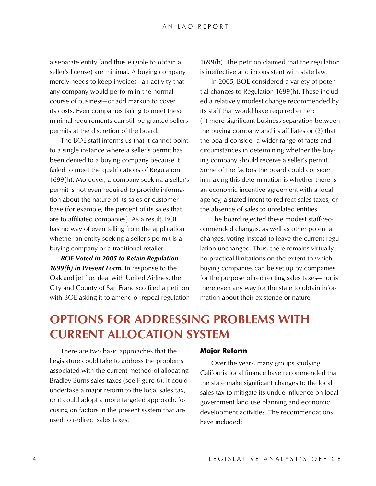a separate entity (and thus eligible to obtain a seller's license) are minimal. A buying company merely needs to keep invoices—an activity that any company would perform in the normal course of business—*or* add markup to cover its costs. Even companies failing to meet these minimal requirements can still be granted sellers permits at the discretion of the board.

The BOE staff informs us that it cannot point to a single instance where a seller's permit has been denied to a buying company because it failed to meet the qualifications of Regulation 1699(h). Moreover, a company seeking a seller's permit is not even required to provide information about the nature of its sales or customer base (for example, the percent of its sales that are to affiliated companies). As a result, BOE has no way of even telling from the application whether an entity seeking a seller's permit is a buying company or a traditional retailer.

*BOE Voted in 2005 to Retain Regulation 1699(h) in Present Form.* In response to the Oakland jet fuel deal with United Airlines, the City and County of San Francisco filed a petition with BOE asking it to amend or repeal regulation

1699(h). The petition claimed that the regulation is ineffective and inconsistent with state law.

In 2005, BOE considered a variety of potential changes to Regulation 1699(h). These included a relatively modest change recommended by its staff that would have required either: (1) more significant business separation between the buying company and its affiliates or (2) that the board consider a wider range of facts and circumstances in determining whether the buying company should receive a seller's permit. Some of the factors the board could consider in making this determination is whether there is an economic incentive agreement with a local agency, a stated intent to redirect sales taxes, or the absence of sales to unrelated entities.

The board rejected these modest staff-recommended changes, as well as other potential changes, voting instead to leave the current regulation unchanged. Thus, there remains virtually no practical limitations on the extent to which buying companies can be set up by companies for the purpose of redirecting sales taxes—nor is there even any way for the state to obtain information about their existence or nature.

# **Options For Addressing Problems With Current Allocation System**

There are two basic approaches that the Legislature could take to address the problems associated with the current method of allocating Bradley-Burns sales taxes (see Figure 6). It could undertake a major reform to the local sales tax, or it could adopt a more targeted approach, focusing on factors in the present system that are used to redirect sales taxes.

#### **Major Reform**

Over the years, many groups studying California local finance have recommended that the state make significant changes to the local sales tax to mitigate its undue influence on local government land use planning and economic development activities. The recommendations have included: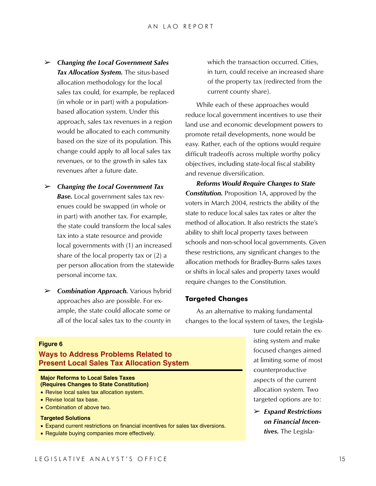- ➢ *Changing the Local Government Sales Tax Allocation System.* The situs-based allocation methodology for the local sales tax could, for example, be replaced (in whole or in part) with a populationbased allocation system. Under this approach, sales tax revenues in a region would be allocated to each community based on the size of its population. This change could apply to all local sales tax revenues, or to the growth in sales tax revenues after a future date.
- ➢ *Changing the Local Government Tax*  **Base.** Local government sales tax revenues could be swapped (in whole or in part) with another tax. For example, the state could transform the local sales tax into a state resource and provide local governments with (1) an increased share of the local property tax or (2) a per person allocation from the statewide personal income tax.
- ➢ *Combination Approach.* Various hybrid approaches also are possible. For example, the state could allocate some or all of the local sales tax to the *county* in

which the transaction occurred. Cities, in turn, could receive an increased share of the property tax (redirected from the current county share).

While each of these approaches would reduce local government incentives to use their land use and economic development powers to promote retail developments, none would be easy. Rather, each of the options would require difficult tradeoffs across multiple worthy policy objectives, including state-local fiscal stability and revenue diversification.

*Reforms Would Require Changes to State Constitution.* Proposition 1A, approved by the voters in March 2004, restricts the ability of the state to reduce local sales tax rates or alter the method of allocation. It also restricts the state's ability to shift local property taxes between schools and non-school local governments. Given these restrictions, any significant changes to the allocation methods for Bradley-Burns sales taxes or shifts in local sales and property taxes would require changes to the Constitution.

#### **Targeted Changes**

As an alternative to making fundamental changes to the local system of taxes, the Legisla-

> ture could retain the existing system and make focused changes aimed at limiting some of most counterproductive aspects of the current allocation system. Two targeted options are to:

➢ *Expand Restrictions on Financial Incentives.* The Legisla-

### **Figure 6**

# **Ways to Address Problems Related to Present Local Sales Tax Allocation System**

#### **Major Reforms to Local Sales Taxes (Requires Changes to State Constitution)**

- Revise local sales tax allocation system.
- Revise local tax base.
- Combination of above two.

#### **Targeted Solutions**

- Expand current restrictions on financial incentives for sales tax diversions.
- Regulate buying companies more effectively.